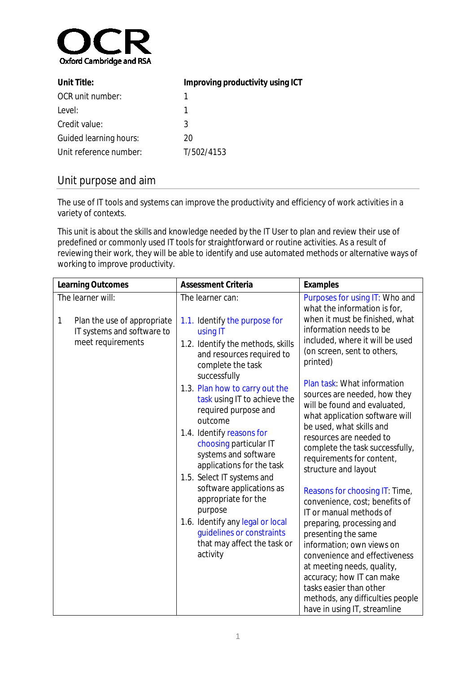

| Unit Title:            | Improving productivity using ICT |  |
|------------------------|----------------------------------|--|
| OCR unit number:       |                                  |  |
| Level:                 |                                  |  |
| Credit value:          | 3                                |  |
| Guided learning hours: | 20                               |  |
| Unit reference number: | T/502/4153                       |  |

# Unit purpose and aim

The use of IT tools and systems can improve the productivity and efficiency of work activities in a variety of contexts.

This unit is about the skills and knowledge needed by the IT User to plan and review their use of predefined or commonly used IT tools for straightforward or routine activities. As a result of reviewing their work, they will be able to identify and use automated methods or alternative ways of working to improve productivity.

| <b>Learning Outcomes</b>                                                            | <b>Assessment Criteria</b>                                                                                                                                                                                                                                                                                                                                                                                                                                                                        | <b>Examples</b>                                                                                                                                                                                                                               |
|-------------------------------------------------------------------------------------|---------------------------------------------------------------------------------------------------------------------------------------------------------------------------------------------------------------------------------------------------------------------------------------------------------------------------------------------------------------------------------------------------------------------------------------------------------------------------------------------------|-----------------------------------------------------------------------------------------------------------------------------------------------------------------------------------------------------------------------------------------------|
| The learner will:                                                                   | The learner can:                                                                                                                                                                                                                                                                                                                                                                                                                                                                                  | Purposes for using IT: Who and<br>what the information is for,                                                                                                                                                                                |
| 1<br>Plan the use of appropriate<br>IT systems and software to<br>meet requirements | 1.1. Identify the purpose for<br>using IT<br>1.2. Identify the methods, skills<br>and resources required to<br>complete the task<br>successfully<br>1.3. Plan how to carry out the<br>task using IT to achieve the<br>required purpose and<br>outcome<br>1.4. Identify reasons for<br>choosing particular IT<br>systems and software<br>applications for the task<br>1.5. Select IT systems and<br>software applications as<br>appropriate for the<br>purpose<br>1.6. Identify any legal or local | when it must be finished, what<br>information needs to be<br>included, where it will be used<br>(on screen, sent to others,<br>printed)<br>Plan task: What information                                                                        |
|                                                                                     |                                                                                                                                                                                                                                                                                                                                                                                                                                                                                                   | sources are needed, how they<br>will be found and evaluated,<br>what application software will<br>be used, what skills and<br>resources are needed to<br>complete the task successfully,<br>requirements for content,<br>structure and layout |
|                                                                                     |                                                                                                                                                                                                                                                                                                                                                                                                                                                                                                   | Reasons for choosing IT: Time,<br>convenience, cost; benefits of<br>IT or manual methods of<br>preparing, processing and                                                                                                                      |
| guidelines or constraints<br>that may affect the task or<br>activity                | presenting the same<br>information; own views on<br>convenience and effectiveness                                                                                                                                                                                                                                                                                                                                                                                                                 |                                                                                                                                                                                                                                               |
|                                                                                     |                                                                                                                                                                                                                                                                                                                                                                                                                                                                                                   | at meeting needs, quality,<br>accuracy; how IT can make<br>tasks easier than other                                                                                                                                                            |
|                                                                                     |                                                                                                                                                                                                                                                                                                                                                                                                                                                                                                   | methods, any difficulties people<br>have in using IT, streamline                                                                                                                                                                              |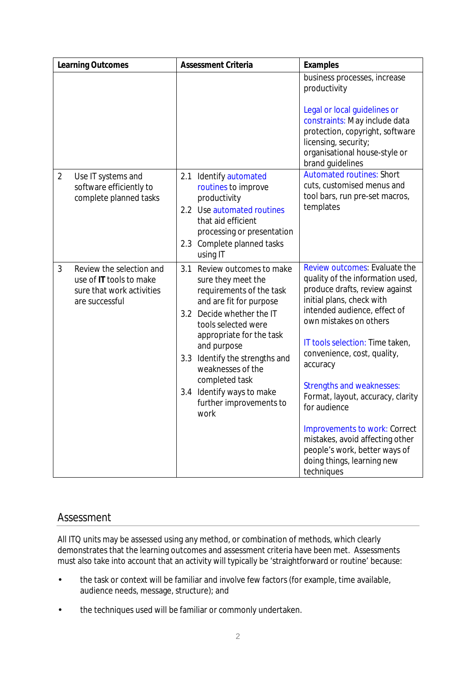|                | <b>Learning Outcomes</b>                                                                           | <b>Assessment Criteria</b>                                                                                                                                                                                                                                                                                                                          | <b>Examples</b>                                                                                                                                                                                                                                                                                                                                                                                                                                                                                                           |
|----------------|----------------------------------------------------------------------------------------------------|-----------------------------------------------------------------------------------------------------------------------------------------------------------------------------------------------------------------------------------------------------------------------------------------------------------------------------------------------------|---------------------------------------------------------------------------------------------------------------------------------------------------------------------------------------------------------------------------------------------------------------------------------------------------------------------------------------------------------------------------------------------------------------------------------------------------------------------------------------------------------------------------|
|                |                                                                                                    |                                                                                                                                                                                                                                                                                                                                                     | business processes, increase<br>productivity<br>Legal or local guidelines or<br>constraints: May include data<br>protection, copyright, software<br>licensing, security;<br>organisational house-style or<br>brand guidelines                                                                                                                                                                                                                                                                                             |
| $\overline{2}$ | Use IT systems and<br>software efficiently to<br>complete planned tasks                            | 2.1 Identify automated<br>routines to improve<br>productivity<br>2.2 Use automated routines<br>that aid efficient<br>processing or presentation<br>2.3 Complete planned tasks<br>using IT                                                                                                                                                           | <b>Automated routines: Short</b><br>cuts, customised menus and<br>tool bars, run pre-set macros,<br>templates                                                                                                                                                                                                                                                                                                                                                                                                             |
| 3              | Review the selection and<br>use of IT tools to make<br>sure that work activities<br>are successful | 3.1<br>Review outcomes to make<br>sure they meet the<br>requirements of the task<br>and are fit for purpose<br>3.2 Decide whether the IT<br>tools selected were<br>appropriate for the task<br>and purpose<br>3.3 Identify the strengths and<br>weaknesses of the<br>completed task<br>3.4 Identify ways to make<br>further improvements to<br>work | Review outcomes: Evaluate the<br>quality of the information used,<br>produce drafts, review against<br>initial plans, check with<br>intended audience, effect of<br>own mistakes on others<br>IT tools selection: Time taken,<br>convenience, cost, quality,<br>accuracy<br><b>Strengths and weaknesses:</b><br>Format, layout, accuracy, clarity<br>for audience<br><b>Improvements to work: Correct</b><br>mistakes, avoid affecting other<br>people's work, better ways of<br>doing things, learning new<br>techniques |

# Assessment

All ITQ units may be assessed using any method, or combination of methods, which clearly demonstrates that the learning outcomes and assessment criteria have been met. Assessments must also take into account that an activity will typically be 'straightforward or routine' because:

- the task or context will be familiar and involve few factors (for example, time available, L. audience needs, message, structure); and
- the techniques used will be familiar or commonly undertaken. $\mathbf{r}$